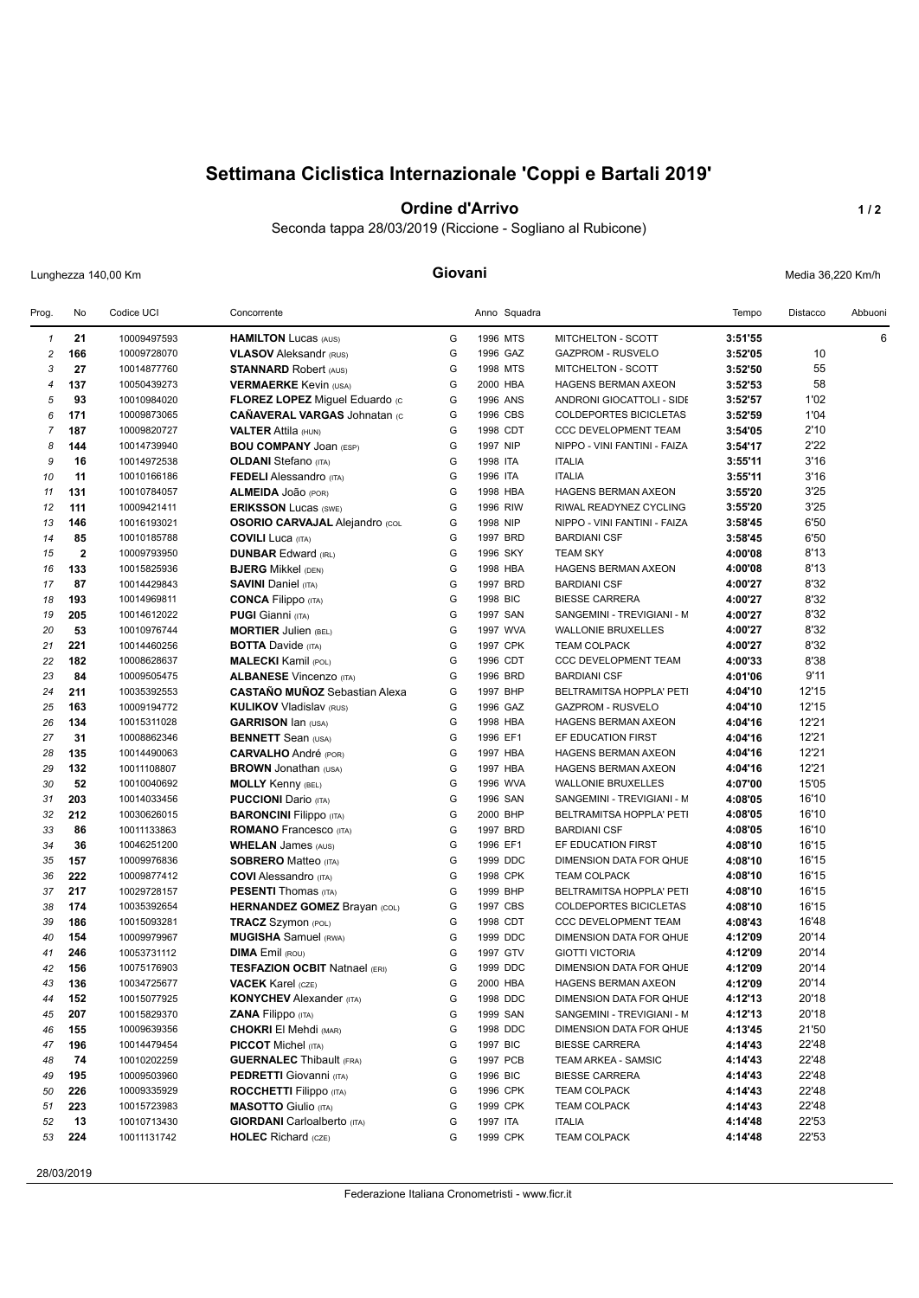# **Settimana Ciclistica Internazionale 'Coppi e Bartali 2019'**

## **Ordine d'Arrivo 1/2**

Seconda tappa 28/03/2019 (Riccione - Sogliano al Rubicone)

Lunghezza 140,00 Km **Giovani** Media 36,220 Km/h

| Prog.          | No                      | Codice UCI  | Concorrente                           |        | Anno Squadra |                                                  | Tempo   | Distacco | Abbuoni |
|----------------|-------------------------|-------------|---------------------------------------|--------|--------------|--------------------------------------------------|---------|----------|---------|
| $\mathbf{1}$   | 21                      | 10009497593 | <b>HAMILTON Lucas (AUS)</b>           | G      | 1996 MTS     | MITCHELTON - SCOTT                               | 3:51'55 |          | 6       |
| $\overline{c}$ | 166                     | 10009728070 | <b>VLASOV</b> Aleksandr (RUS)         | G      | 1996 GAZ     | <b>GAZPROM - RUSVELO</b>                         | 3:52'05 | 10       |         |
| 3              | 27                      | 10014877760 | <b>STANNARD Robert (AUS)</b>          | G      | 1998 MTS     | MITCHELTON - SCOTT                               | 3:52'50 | 55       |         |
| $\overline{4}$ | 137                     | 10050439273 | <b>VERMAERKE Kevin (USA)</b>          | G      | 2000 HBA     | <b>HAGENS BERMAN AXEON</b>                       | 3:52'53 | 58       |         |
| 5              | 93                      | 10010984020 | FLOREZ LOPEZ Miguel Eduardo (c        | G      | 1996 ANS     | ANDRONI GIOCATTOLI - SIDE                        | 3:52'57 | 1'02     |         |
| 6              | 171                     | 10009873065 | <b>CAÑAVERAL VARGAS Johnatan (C</b>   | G      | 1996 CBS     | <b>COLDEPORTES BICICLETAS</b>                    | 3:52'59 | 1'04     |         |
| $\overline{7}$ | 187                     | 10009820727 | <b>VALTER Attila (HUN)</b>            | G      | 1998 CDT     | <b>CCC DEVELOPMENT TEAM</b>                      | 3:54'05 | 2'10     |         |
| 8              | 144                     | 10014739940 | <b>BOU COMPANY JOAN (ESP)</b>         | G      | 1997 NIP     | NIPPO - VINI FANTINI - FAIZA                     | 3:54'17 | 2'22     |         |
| 9              | 16                      | 10014972538 | <b>OLDANI</b> Stefano (ITA)           | G      | 1998 ITA     | <b>ITALIA</b>                                    | 3:55'11 | 3'16     |         |
| 10             | 11                      | 10010166186 | <b>FEDELI</b> Alessandro (ITA)        | G      | 1996 ITA     | <b>ITALIA</b>                                    | 3:55'11 | 3'16     |         |
| 11             | 131                     | 10010784057 | ALMEIDA JOão (POR)                    | G      | 1998 HBA     | <b>HAGENS BERMAN AXEON</b>                       | 3:55'20 | 3'25     |         |
| 12             | 111                     | 10009421411 | <b>ERIKSSON Lucas (SWE)</b>           | G      | 1996 RIW     | RIWAL READYNEZ CYCLING                           | 3:55'20 | 3'25     |         |
| 13             | 146                     | 10016193021 | <b>OSORIO CARVAJAL Alejandro (COL</b> | G      | 1998 NIP     | NIPPO - VINI FANTINI - FAIZA                     | 3:58'45 | 6'50     |         |
| 14             | 85                      | 10010185788 | <b>COVILI Luca (ITA)</b>              | G      | 1997 BRD     | <b>BARDIANI CSF</b>                              | 3:58'45 | 6'50     |         |
| 15             | $\overline{\mathbf{2}}$ | 10009793950 | <b>DUNBAR Edward (IRL)</b>            | G      | 1996 SKY     | <b>TEAM SKY</b>                                  | 4:00'08 | 8'13     |         |
| 16             | 133                     | 10015825936 | <b>BJERG Mikkel (DEN)</b>             | G      | 1998 HBA     | HAGENS BERMAN AXEON                              | 4:00'08 | 8'13     |         |
| 17             | 87                      | 10014429843 | <b>SAVINI Daniel (ITA)</b>            | G      | 1997 BRD     | <b>BARDIANI CSF</b>                              | 4:00'27 | 8'32     |         |
| 18             | 193                     | 10014969811 | <b>CONCA Filippo</b> (ITA)            | G      | 1998 BIC     | <b>BIESSE CARRERA</b>                            | 4:00'27 | 8'32     |         |
| 19             | 205                     | 10014612022 | <b>PUGI Gianni</b> (ITA)              | G      | 1997 SAN     | SANGEMINI - TREVIGIANI - M                       | 4:00'27 | 8'32     |         |
| 20             | 53                      | 10010976744 | <b>MORTIER Julien (BEL)</b>           | G      | 1997 WVA     | <b>WALLONIE BRUXELLES</b>                        | 4:00'27 | 8'32     |         |
| 21             | 221                     | 10014460256 | <b>BOTTA Davide (ITA)</b>             | G      | 1997 CPK     | <b>TEAM COLPACK</b>                              | 4:00'27 | 8'32     |         |
| 22             | 182                     | 10008628637 | <b>MALECKI</b> Kamil (POL)            | G      | 1996 CDT     | CCC DEVELOPMENT TEAM                             | 4:00'33 | 8'38     |         |
| 23             | 84                      | 10009505475 | <b>ALBANESE Vincenzo (ITA)</b>        | G      | 1996 BRD     | <b>BARDIANI CSF</b>                              | 4:01'06 | 9'11     |         |
| 24             | 211                     | 10035392553 | <b>CASTAÑO MUÑOZ</b> Sebastian Alexa  | G      | 1997 BHP     | BELTRAMITSA HOPPLA' PETI                         | 4:04'10 | 12'15    |         |
| 25             | 163                     | 10009194772 | <b>KULIKOV Vladislav (RUS)</b>        | G      | 1996 GAZ     | <b>GAZPROM - RUSVELO</b>                         | 4:04'10 | 12'15    |         |
| 26             | 134                     | 10015311028 | <b>GARRISON lan (USA)</b>             | G      | 1998 HBA     | HAGENS BERMAN AXEON                              | 4:04'16 | 12'21    |         |
| 27             | 31                      | 10008862346 | <b>BENNETT</b> Sean (USA)             | G      | 1996 EF1     | EF EDUCATION FIRST                               | 4:04'16 | 12'21    |         |
| 28             | 135                     | 10014490063 | <b>CARVALHO</b> André (POR)           | G      | 1997 HBA     | HAGENS BERMAN AXEON                              | 4:04'16 | 12'21    |         |
| 29             | 132                     | 10011108807 | <b>BROWN</b> Jonathan (USA)           | G      | 1997 HBA     | HAGENS BERMAN AXEON                              | 4:04'16 | 12'21    |         |
| 30             | 52                      | 10010040692 | <b>MOLLY Kenny (BEL)</b>              | G      | 1996 WVA     | <b>WALLONIE BRUXELLES</b>                        | 4:07'00 | 15'05    |         |
| 31             | 203                     | 10014033456 | <b>PUCCIONI</b> Dario (ITA)           | G      | 1996 SAN     | SANGEMINI - TREVIGIANI - M                       | 4:08'05 | 16'10    |         |
| 32             | 212                     | 10030626015 | <b>BARONCINI Filippo (ITA)</b>        | G      | 2000 BHP     | BELTRAMITSA HOPPLA' PETI                         | 4:08'05 | 16'10    |         |
| 33             | 86                      | 10011133863 | <b>ROMANO</b> Francesco (ITA)         | G      | 1997 BRD     | <b>BARDIANI CSF</b>                              | 4:08'05 | 16'10    |         |
| 34             | 36                      | 10046251200 | <b>WHELAN James (AUS)</b>             | G      | 1996 EF1     | EF EDUCATION FIRST                               | 4:08'10 | 16'15    |         |
| 35             | 157                     | 10009976836 | <b>SOBRERO Matteo (ITA)</b>           | G      | 1999 DDC     | DIMENSION DATA FOR QHUE                          | 4:08'10 | 16'15    |         |
| 36             | 222                     | 10009877412 | <b>COVI</b> Alessandro (ITA)          | G      | 1998 CPK     | <b>TEAM COLPACK</b>                              | 4:08'10 | 16'15    |         |
| 37             | 217                     | 10029728157 | <b>PESENTI Thomas (ITA)</b>           | G      | 1999 BHP     | BELTRAMITSA HOPPLA' PETI                         | 4:08'10 | 16'15    |         |
| 38             | 174                     | 10035392654 | <b>HERNANDEZ GOMEZ Brayan (COL)</b>   | G      | 1997 CBS     | COLDEPORTES BICICLETAS                           | 4:08'10 | 16'15    |         |
| 39             | 186                     | 10015093281 | <b>TRACZ</b> Szymon (POL)             | G      | 1998 CDT     | <b>CCC DEVELOPMENT TEAM</b>                      | 4:08'43 | 16'48    |         |
| 40             | 154                     | 10009979967 | <b>MUGISHA</b> Samuel (RWA)           | G      | 1999 DDC     | DIMENSION DATA FOR QHUE                          | 4:12'09 | 20'14    |         |
| 41             | 246                     | 10053731112 | <b>DIMA</b> Emil (ROU)                | G      | 1997 GTV     | <b>GIOTTI VICTORIA</b>                           | 4:12'09 | 20'14    |         |
| 42             | 156                     | 10075176903 | <b>TESFAZION OCBIT Natnael (ERI)</b>  | G      | 1999 DDC     | DIMENSION DATA FOR QHUE                          | 4:12'09 | 20'14    |         |
| 43             | 136                     | 10034725677 | <b>VACEK</b> Karel (CZE)              | G      | 2000 HBA     | <b>HAGENS BERMAN AXEON</b>                       | 4:12'09 | 20'14    |         |
| 44             | 152                     | 10015077925 | <b>KONYCHEV</b> Alexander (ITA)       | G      | 1998 DDC     | DIMENSION DATA FOR QHUE                          | 4:12'13 | 20'18    |         |
| 45             | 207                     | 10015829370 | <b>ZANA Filippo</b> (ITA)             | G      | 1999 SAN     | SANGEMINI - TREVIGIANI - M                       | 4:12'13 | 20'18    |         |
|                |                         | 10009639356 | <b>CHOKRI El Mehdi (MAR)</b>          |        | 1998 DDC     |                                                  |         | 21'50    |         |
| 46             | 155                     | 10014479454 |                                       | G<br>G | 1997 BIC     | DIMENSION DATA FOR QHUE<br><b>BIESSE CARRERA</b> | 4:13'45 | 22'48    |         |
| 47             | 196                     |             | <b>PICCOT</b> Michel (ITA)            |        | 1997 PCB     |                                                  | 4:14'43 |          |         |
| 48             | 74                      | 10010202259 | <b>GUERNALEC</b> Thibault (FRA)       | G      |              | TEAM ARKEA - SAMSIC                              | 4:14'43 | 22'48    |         |
| 49             | 195                     | 10009503960 | <b>PEDRETTI</b> Giovanni (ITA)        | G      | 1996 BIC     | <b>BIESSE CARRERA</b>                            | 4:14'43 | 22'48    |         |
| 50             | 226                     | 10009335929 | <b>ROCCHETTI Filippo</b> (ITA)        | G      | 1996 CPK     | <b>TEAM COLPACK</b>                              | 4:14'43 | 22'48    |         |
| 51             | 223                     | 10015723983 | <b>MASOTTO</b> Giulio (ITA)           | G      | 1999 CPK     | <b>TEAM COLPACK</b>                              | 4:14'43 | 22'48    |         |
| 52             | 13                      | 10010713430 | <b>GIORDANI</b> Carloalberto (ITA)    | G      | 1997 ITA     | <b>ITALIA</b>                                    | 4:14'48 | 22'53    |         |
| 53             | 224                     | 10011131742 | <b>HOLEC</b> Richard (CZE)            | G      | 1999 CPK     | <b>TEAM COLPACK</b>                              | 4:14'48 | 22'53    |         |